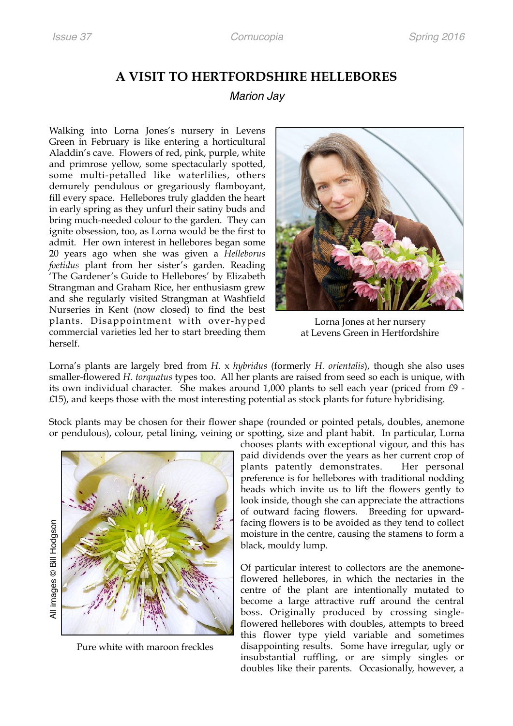## **A VISIT TO HERTFORDSHIRE HELLEBORES**

## *Marion Jay*

Walking into Lorna Jones's nursery in Levens Green in February is like entering a horticultural Aladdin's cave. Flowers of red, pink, purple, white and primrose yellow, some spectacularly spotted, some multi-petalled like waterlilies, others demurely pendulous or gregariously flamboyant, fill every space. Hellebores truly gladden the heart in early spring as they unfurl their satiny buds and bring much-needed colour to the garden. They can ignite obsession, too, as Lorna would be the first to admit. Her own interest in hellebores began some 20 years ago when she was given a *Helleborus foetidus* plant from her sister's garden. Reading 'The Gardener's Guide to Hellebores' by Elizabeth Strangman and Graham Rice, her enthusiasm grew and she regularly visited Strangman at Washfield Nurseries in Kent (now closed) to find the best plants. Disappointment with over-hyped commercial varieties led her to start breeding them herself.



Lorna Jones at her nursery at Levens Green in Hertfordshire

Lorna's plants are largely bred from *H.* x *hybridus* (formerly *H. orientalis*), though she also uses smaller-flowered *H. torquatus* types too. All her plants are raised from seed so each is unique, with its own individual character. She makes around 1,000 plants to sell each year (priced from £9 - £15), and keeps those with the most interesting potential as stock plants for future hybridising.

Stock plants may be chosen for their flower shape (rounded or pointed petals, doubles, anemone or pendulous), colour, petal lining, veining or spotting, size and plant habit. In particular, Lorna



Pure white with maroon freckles

chooses plants with exceptional vigour, and this has paid dividends over the years as her current crop of plants patently demonstrates. Her personal preference is for hellebores with traditional nodding heads which invite us to lift the flowers gently to look inside, though she can appreciate the attractions of outward facing flowers. Breeding for upwardfacing flowers is to be avoided as they tend to collect moisture in the centre, causing the stamens to form a black, mouldy lump.

Of particular interest to collectors are the anemoneflowered hellebores, in which the nectaries in the centre of the plant are intentionally mutated to become a large attractive ruff around the central boss. Originally produced by crossing singleflowered hellebores with doubles, attempts to breed this flower type yield variable and sometimes disappointing results. Some have irregular, ugly or insubstantial ruffling, or are simply singles or doubles like their parents. Occasionally, however, a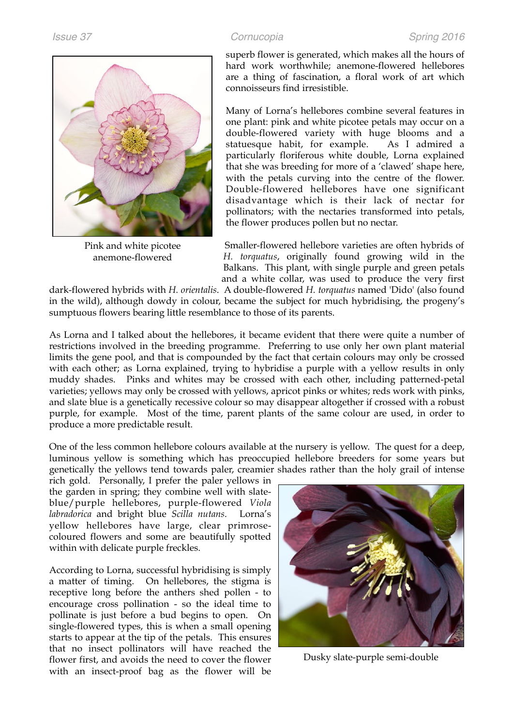

Pink and white picotee anemone-flowered

superb flower is generated, which makes all the hours of hard work worthwhile; anemone-flowered hellebores are a thing of fascination, a floral work of art which connoisseurs find irresistible.

Many of Lorna's hellebores combine several features in one plant: pink and white picotee petals may occur on a double-flowered variety with huge blooms and a statuesque habit, for example. As I admired a particularly floriferous white double, Lorna explained that she was breeding for more of a 'clawed' shape here, with the petals curving into the centre of the flower. Double-flowered hellebores have one significant disadvantage which is their lack of nectar for pollinators; with the nectaries transformed into petals, the flower produces pollen but no nectar.

Smaller-flowered hellebore varieties are often hybrids of *H. torquatus*, originally found growing wild in the Balkans. This plant, with single purple and green petals and a white collar, was used to produce the very first

dark-flowered hybrids with *H. orientalis*. A double-flowered *H. torquatus* named 'Dido' (also found in the wild), although dowdy in colour, became the subject for much hybridising, the progeny's sumptuous flowers bearing little resemblance to those of its parents.

As Lorna and I talked about the hellebores, it became evident that there were quite a number of restrictions involved in the breeding programme. Preferring to use only her own plant material limits the gene pool, and that is compounded by the fact that certain colours may only be crossed with each other; as Lorna explained, trying to hybridise a purple with a yellow results in only muddy shades. Pinks and whites may be crossed with each other, including patterned-petal varieties; yellows may only be crossed with yellows, apricot pinks or whites; reds work with pinks, and slate blue is a genetically recessive colour so may disappear altogether if crossed with a robust purple, for example. Most of the time, parent plants of the same colour are used, in order to produce a more predictable result.

One of the less common hellebore colours available at the nursery is yellow. The quest for a deep, luminous yellow is something which has preoccupied hellebore breeders for some years but genetically the yellows tend towards paler, creamier shades rather than the holy grail of intense

rich gold. Personally, I prefer the paler yellows in the garden in spring; they combine well with slateblue/purple hellebores, purple-flowered *Viola labradorica* and bright blue *Scilla nutans*. Lorna's yellow hellebores have large, clear primrosecoloured flowers and some are beautifully spotted within with delicate purple freckles.

According to Lorna, successful hybridising is simply a matter of timing. On hellebores, the stigma is receptive long before the anthers shed pollen - to encourage cross pollination - so the ideal time to pollinate is just before a bud begins to open. On single-flowered types, this is when a small opening starts to appear at the tip of the petals. This ensures that no insect pollinators will have reached the flower first, and avoids the need to cover the flower with an insect-proof bag as the flower will be



Dusky slate-purple semi-double